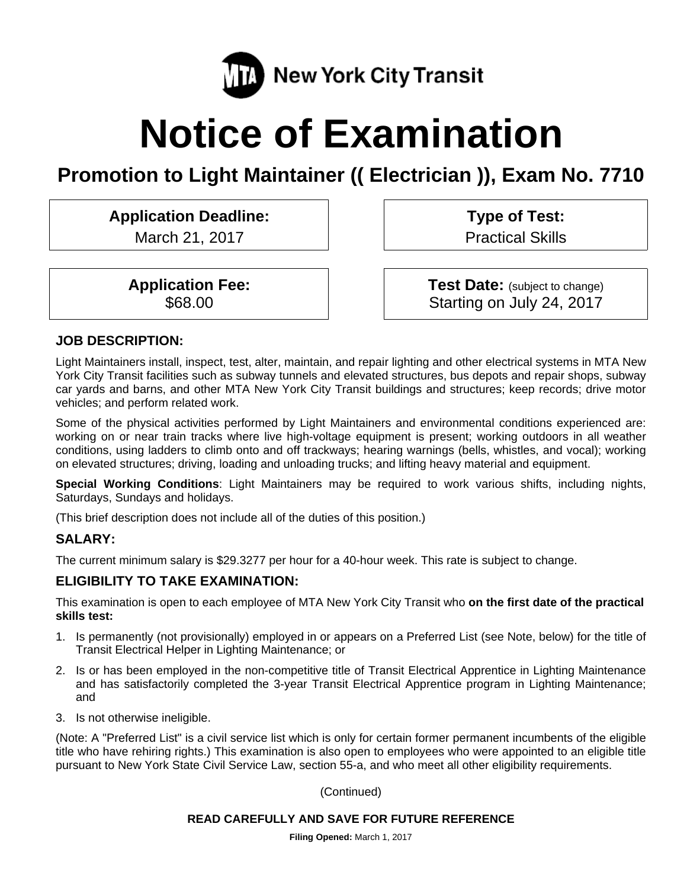

# **Notice of Examination**

# **Promotion to Light Maintainer (( Electrician )), Exam No. 7710**

# **Application Deadline:**

March 21, 2017

**Application Fee:**  \$68.00

**Type of Test:**  Practical Skills

**Test Date:** (subject to change) Starting on July 24, 2017

#### **JOB DESCRIPTION:**

Light Maintainers install, inspect, test, alter, maintain, and repair lighting and other electrical systems in MTA New York City Transit facilities such as subway tunnels and elevated structures, bus depots and repair shops, subway car yards and barns, and other MTA New York City Transit buildings and structures; keep records; drive motor vehicles; and perform related work.

Some of the physical activities performed by Light Maintainers and environmental conditions experienced are: working on or near train tracks where live high-voltage equipment is present; working outdoors in all weather conditions, using ladders to climb onto and off trackways; hearing warnings (bells, whistles, and vocal); working on elevated structures; driving, loading and unloading trucks; and lifting heavy material and equipment.

**Special Working Conditions**: Light Maintainers may be required to work various shifts, including nights, Saturdays, Sundays and holidays.

(This brief description does not include all of the duties of this position.)

#### **SALARY:**

The current minimum salary is \$29.3277 per hour for a 40-hour week. This rate is subject to change.

#### **ELIGIBILITY TO TAKE EXAMINATION:**

This examination is open to each employee of MTA New York City Transit who **on the first date of the practical skills test:** 

- 1. Is permanently (not provisionally) employed in or appears on a Preferred List (see Note, below) for the title of Transit Electrical Helper in Lighting Maintenance; or
- 2. Is or has been employed in the non-competitive title of Transit Electrical Apprentice in Lighting Maintenance and has satisfactorily completed the 3-year Transit Electrical Apprentice program in Lighting Maintenance; and
- 3. Is not otherwise ineligible.

(Note: A "Preferred List" is a civil service list which is only for certain former permanent incumbents of the eligible title who have rehiring rights.) This examination is also open to employees who were appointed to an eligible title pursuant to New York State Civil Service Law, section 55-a, and who meet all other eligibility requirements.

(Continued)

#### **READ CAREFULLY AND SAVE FOR FUTURE REFERENCE**

**Filing Opened:** March 1, 2017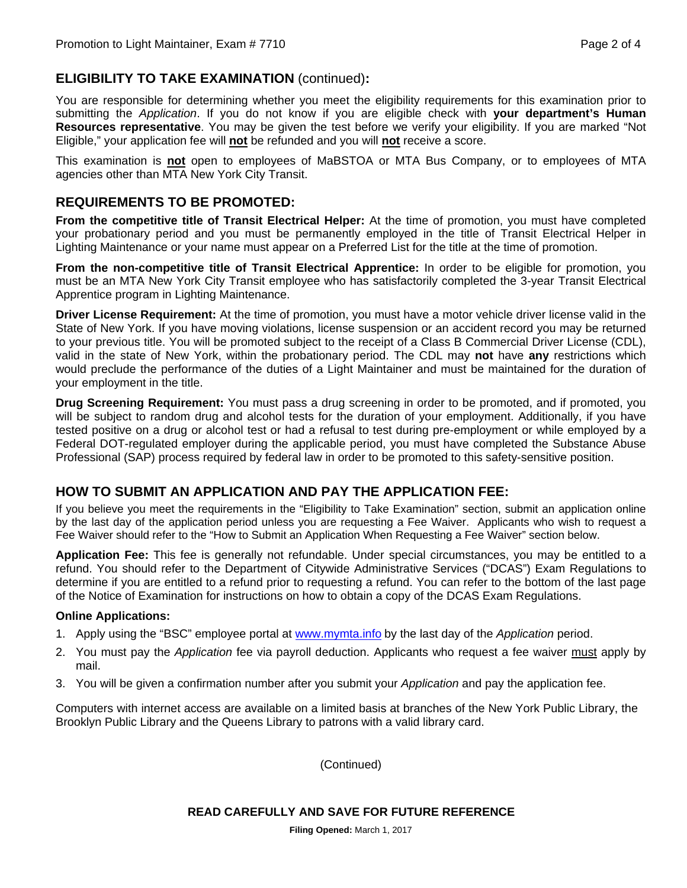# **ELIGIBILITY TO TAKE EXAMINATION** (continued)**:**

You are responsible for determining whether you meet the eligibility requirements for this examination prior to submitting the *Application*. If you do not know if you are eligible check with **your department's Human Resources representative**. You may be given the test before we verify your eligibility. If you are marked "Not Eligible," your application fee will **not** be refunded and you will **not** receive a score.

This examination is **not** open to employees of MaBSTOA or MTA Bus Company, or to employees of MTA agencies other than MTA New York City Transit.

## **REQUIREMENTS TO BE PROMOTED:**

**From the competitive title of Transit Electrical Helper:** At the time of promotion, you must have completed your probationary period and you must be permanently employed in the title of Transit Electrical Helper in Lighting Maintenance or your name must appear on a Preferred List for the title at the time of promotion.

**From the non-competitive title of Transit Electrical Apprentice:** In order to be eligible for promotion, you must be an MTA New York City Transit employee who has satisfactorily completed the 3-year Transit Electrical Apprentice program in Lighting Maintenance.

**Driver License Requirement:** At the time of promotion, you must have a motor vehicle driver license valid in the State of New York. If you have moving violations, license suspension or an accident record you may be returned to your previous title. You will be promoted subject to the receipt of a Class B Commercial Driver License (CDL), valid in the state of New York, within the probationary period. The CDL may **not** have **any** restrictions which would preclude the performance of the duties of a Light Maintainer and must be maintained for the duration of your employment in the title.

**Drug Screening Requirement:** You must pass a drug screening in order to be promoted, and if promoted, you will be subject to random drug and alcohol tests for the duration of your employment. Additionally, if you have tested positive on a drug or alcohol test or had a refusal to test during pre-employment or while employed by a Federal DOT-regulated employer during the applicable period, you must have completed the Substance Abuse Professional (SAP) process required by federal law in order to be promoted to this safety-sensitive position.

#### **HOW TO SUBMIT AN APPLICATION AND PAY THE APPLICATION FEE:**

If you believe you meet the requirements in the "Eligibility to Take Examination" section, submit an application online by the last day of the application period unless you are requesting a Fee Waiver. Applicants who wish to request a Fee Waiver should refer to the "How to Submit an Application When Requesting a Fee Waiver" section below.

**Application Fee:** This fee is generally not refundable. Under special circumstances, you may be entitled to a refund. You should refer to the Department of Citywide Administrative Services ("DCAS") Exam Regulations to determine if you are entitled to a refund prior to requesting a refund. You can refer to the bottom of the last page of the Notice of Examination for instructions on how to obtain a copy of the DCAS Exam Regulations.

#### **Online Applications:**

- 1. Apply using the "BSC" employee portal at www.mymta.info by the last day of the *Application* period.
- 2. You must pay the *Application* fee via payroll deduction. Applicants who request a fee waiver must apply by mail.
- 3. You will be given a confirmation number after you submit your *Application* and pay the application fee.

Computers with internet access are available on a limited basis at branches of the New York Public Library, the Brooklyn Public Library and the Queens Library to patrons with a valid library card.

(Continued)

**READ CAREFULLY AND SAVE FOR FUTURE REFERENCE**

**Filing Opened:** March 1, 2017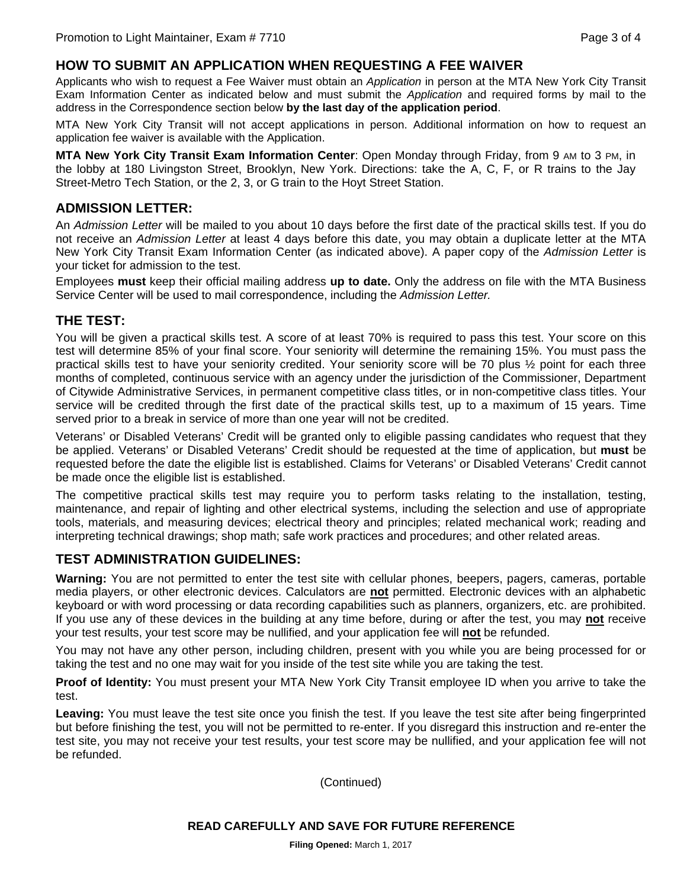#### **HOW TO SUBMIT AN APPLICATION WHEN REQUESTING A FEE WAIVER**

Applicants who wish to request a Fee Waiver must obtain an *Application* in person at the MTA New York City Transit Exam Information Center as indicated below and must submit the *Application* and required forms by mail to the address in the Correspondence section below **by the last day of the application period**.

MTA New York City Transit will not accept applications in person. Additional information on how to request an application fee waiver is available with the Application.

**MTA New York City Transit Exam Information Center**: Open Monday through Friday, from 9 AM to 3 PM, in the lobby at 180 Livingston Street, Brooklyn, New York. Directions: take the A, C, F, or R trains to the Jay Street-Metro Tech Station, or the 2, 3, or G train to the Hoyt Street Station.

#### **ADMISSION LETTER:**

An *Admission Letter* will be mailed to you about 10 days before the first date of the practical skills test. If you do not receive an *Admission Letter* at least 4 days before this date, you may obtain a duplicate letter at the MTA New York City Transit Exam Information Center (as indicated above). A paper copy of the *Admission Letter* is your ticket for admission to the test.

Employees **must** keep their official mailing address **up to date.** Only the address on file with the MTA Business Service Center will be used to mail correspondence, including the *Admission Letter.*

#### **THE TEST:**

You will be given a practical skills test. A score of at least 70% is required to pass this test. Your score on this test will determine 85% of your final score. Your seniority will determine the remaining 15%. You must pass the practical skills test to have your seniority credited. Your seniority score will be 70 plus ½ point for each three months of completed, continuous service with an agency under the jurisdiction of the Commissioner, Department of Citywide Administrative Services, in permanent competitive class titles, or in non-competitive class titles. Your service will be credited through the first date of the practical skills test, up to a maximum of 15 years. Time served prior to a break in service of more than one year will not be credited.

Veterans' or Disabled Veterans' Credit will be granted only to eligible passing candidates who request that they be applied. Veterans' or Disabled Veterans' Credit should be requested at the time of application, but **must** be requested before the date the eligible list is established. Claims for Veterans' or Disabled Veterans' Credit cannot be made once the eligible list is established.

The competitive practical skills test may require you to perform tasks relating to the installation, testing, maintenance, and repair of lighting and other electrical systems, including the selection and use of appropriate tools, materials, and measuring devices; electrical theory and principles; related mechanical work; reading and interpreting technical drawings; shop math; safe work practices and procedures; and other related areas.

#### **TEST ADMINISTRATION GUIDELINES:**

**Warning:** You are not permitted to enter the test site with cellular phones, beepers, pagers, cameras, portable media players, or other electronic devices. Calculators are **not** permitted. Electronic devices with an alphabetic keyboard or with word processing or data recording capabilities such as planners, organizers, etc. are prohibited. If you use any of these devices in the building at any time before, during or after the test, you may **not** receive your test results, your test score may be nullified, and your application fee will **not** be refunded.

You may not have any other person, including children, present with you while you are being processed for or taking the test and no one may wait for you inside of the test site while you are taking the test.

**Proof of Identity:** You must present your MTA New York City Transit employee ID when you arrive to take the test.

**Leaving:** You must leave the test site once you finish the test. If you leave the test site after being fingerprinted but before finishing the test, you will not be permitted to re-enter. If you disregard this instruction and re-enter the test site, you may not receive your test results, your test score may be nullified, and your application fee will not be refunded.

(Continued)